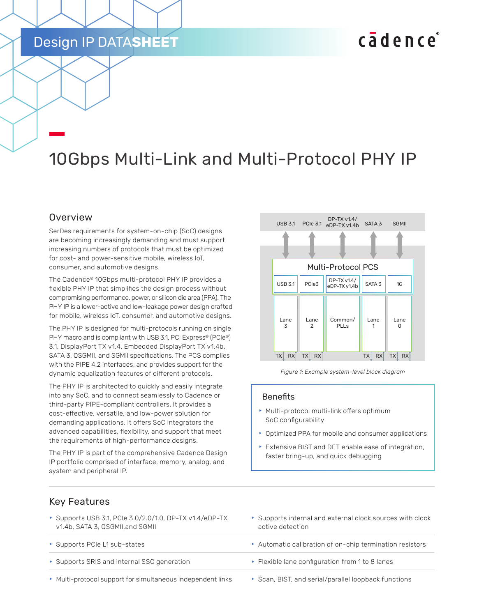## Design IP DATA**SHEET**

# cadence

# 10Gbps Multi-Link and Multi-Protocol PHY IP

#### Overview

SerDes requirements for system-on-chip (SoC) designs are becoming increasingly demanding and must support increasing numbers of protocols that must be optimized for cost- and power-sensitive mobile, wireless IoT, consumer, and automotive designs.

The Cadence® 10Gbps multi-protocol PHY IP provides a flexible PHY IP that simplifies the design process without compromising performance, power, or silicon die area (PPA). The PHY IP is a lower-active and low-leakage power design crafted for mobile, wireless IoT, consumer, and automotive designs.

The PHY IP is designed for multi-protocols running on single PHY macro and is compliant with USB 3.1, PCI Express® (PCIe®) 3.1, DisplayPort TX v1.4, Embedded DisplayPort TX v1.4b, SATA 3, QSGMII, and SGMII specifications. The PCS complies with the PIPE 4.2 interfaces, and provides support for the dynamic equalization features of different protocols.

The PHY IP is architected to quickly and easily integrate into any SoC, and to connect seamlessly to Cadence or third-party PIPE-compliant controllers. It provides a cost-effective, versatile, and low-power solution for demanding applications. It offers SoC integrators the advanced capabilities, flexibility, and support that meet the requirements of high-performance designs.

The PHY IP is part of the comprehensive Cadence Design IP portfolio comprised of interface, memory, analog, and system and peripheral IP.



*Figure 1: Example system-level block diagram*

#### **Benefits**

- **Multi-protocol multi-link offers optimum** SoC configurability
- $\triangleright$  Optimized PPA for mobile and consumer applications
- $\triangleright$  Extensive BIST and DFT enable ease of integration, faster bring-up, and quick debugging

#### Key Features

- Supports USB 3.1, PCIe  $3.0/2.0/1.0$ , DP-TX v1.4/eDP-TX v1.4b, SATA 3, QSGMII,and SGMII
- 
- **► Supports SRIS and internal SSC generation From 1 to 8 lanes in Flexible lane configuration from 1 to 8 lanes**
- $\blacktriangleright$  Multi-protocol support for simultaneous independent links  $\blacktriangleright$  Scan, BIST, and serial/parallel loopback functions
- $\blacktriangleright$  Supports internal and external clock sources with clock active detection
- ▶ Supports PCIe L1 sub-states **f Automatic calibration of on-chip termination resistors** 
	-
	-